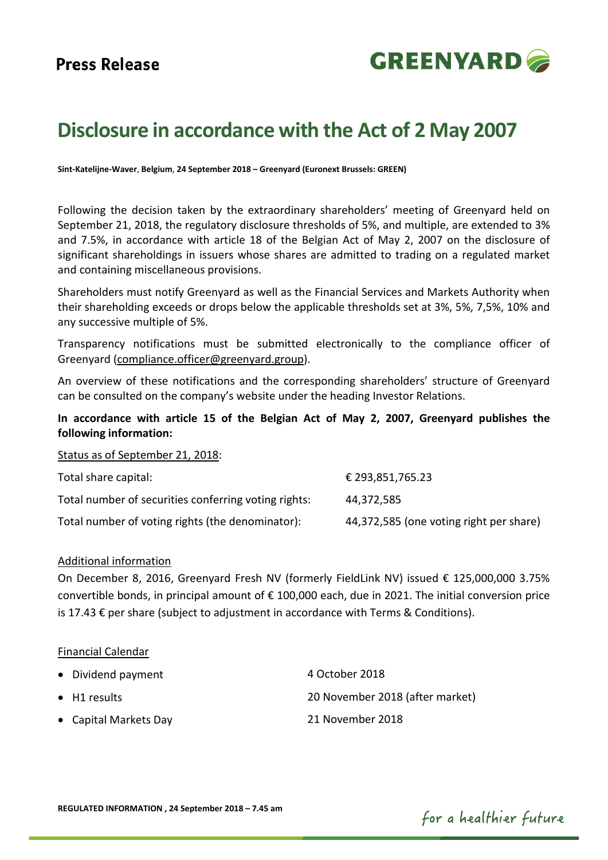

# **Disclosure in accordance with the Act of 2 May 2007**

**Sint-Katelijne-Waver**, **Belgium**, **24 September 2018 – Greenyard (Euronext Brussels: GREEN)**

Following the decision taken by the extraordinary shareholders' meeting of Greenyard held on September 21, 2018, the regulatory disclosure thresholds of 5%, and multiple, are extended to 3% and 7.5%, in accordance with article 18 of the Belgian Act of May 2, 2007 on the disclosure of significant shareholdings in issuers whose shares are admitted to trading on a regulated market and containing miscellaneous provisions.

Shareholders must notify Greenyard as well as the Financial Services and Markets Authority when their shareholding exceeds or drops below the applicable thresholds set at 3%, 5%, 7,5%, 10% and any successive multiple of 5%.

Transparency notifications must be submitted electronically to the compliance officer of Greenyard [\(compliance.officer@greenyard.group\)](mailto:compliance.officer@greenyard.group).

An overview of these notifications and the corresponding shareholders' structure of Greenyard can be consulted on the company's website under the heading Investor Relations.

## **In accordance with article 15 of the Belgian Act of May 2, 2007, Greenyard publishes the following information:**

Status as of September 21, 2018:

| Total share capital:                                 | € 293,851,765.23                        |
|------------------------------------------------------|-----------------------------------------|
| Total number of securities conferring voting rights: | 44.372.585                              |
| Total number of voting rights (the denominator):     | 44,372,585 (one voting right per share) |

## Additional information

On December 8, 2016, Greenyard Fresh NV (formerly FieldLink NV) issued € 125,000,000 3.75% convertible bonds, in principal amount of € 100,000 each, due in 2021. The initial conversion price is 17.43 € per share (subject to adjustment in accordance with Terms & Conditions).

### Financial Calendar

| • Dividend payment    | 4 October 2018                  |
|-----------------------|---------------------------------|
| $\bullet$ H1 results  | 20 November 2018 (after market) |
| • Capital Markets Day | 21 November 2018                |

for a healthier future